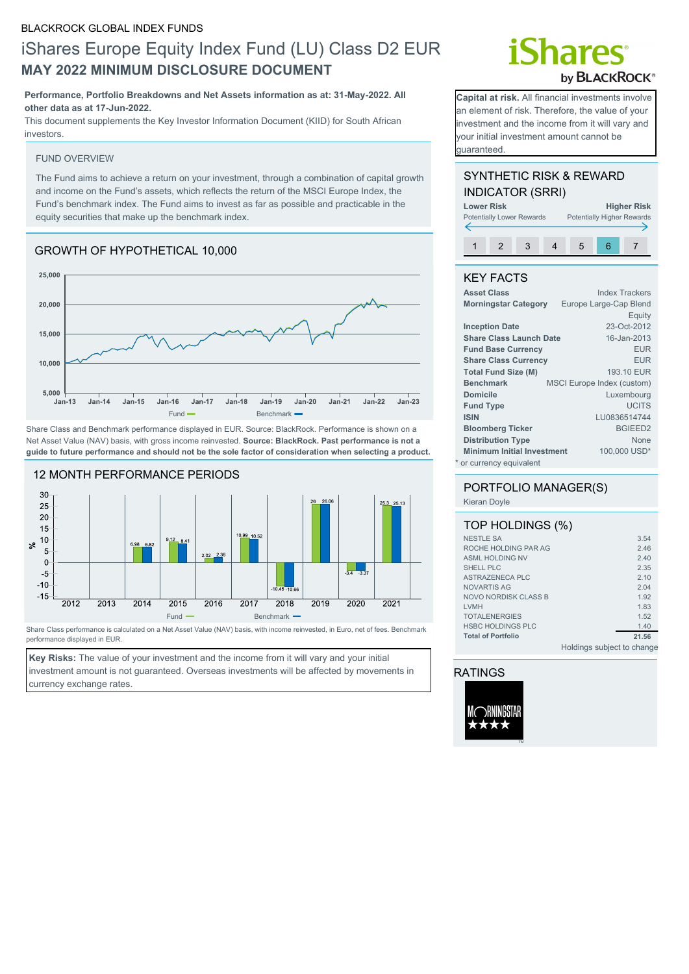# iShares Europe Equity Index Fund (LU) Class D2 EUR **MAY 2022 MINIMUM DISCLOSURE DOCUMENT**

### **Performance, Portfolio Breakdowns and Net Assets information as at: 31-May-2022. All other data as at 17-Jun-2022.**

This document supplements the Key Investor Information Document (KIID) for South African investors.

#### FUND OVERVIEW

The Fund aims to achieve a return on your investment, through a combination of capital growth and income on the Fund's assets, which reflects the return of the MSCI Europe Index, the Fund's benchmark index. The Fund aims to invest as far as possible and practicable in the equity securities that make up the benchmark index.

# GROWTH OF HYPOTHETICAL 10,000



Share Class and Benchmark performance displayed in EUR. Source: BlackRock. Performance is shown on a Net Asset Value (NAV) basis, with gross income reinvested. **Source: BlackRock. Past performance is not a guide to future performance and should not be the sole factor of consideration when selecting a product.**



Share Class performance is calculated on a Net Asset Value (NAV) basis, with income reinvested, in Euro, net of fees. Benchmark performance displayed in EUR.

**Key Risks:** The value of your investment and the income from it will vary and your initial investment amount is not guaranteed. Overseas investments will be affected by movements in currency exchange rates.

# **Shares** by **BLACKROCK®**

**Capital at risk.** All financial investments involve an element of risk. Therefore, the value of your investment and the income from it will vary and your initial investment amount cannot be guaranteed.

## SYNTHETIC RISK & REWARD INDICATOR (SRRI)

| <b>Lower Risk</b> | <b>Potentially Lower Rewards</b> |  |   | <b>Higher Risk</b><br><b>Potentially Higher Rewards</b> |
|-------------------|----------------------------------|--|---|---------------------------------------------------------|
|                   |                                  |  |   |                                                         |
|                   |                                  |  | 5 |                                                         |

## KEY FACTS

| <b>Asset Class</b>                | <b>Index Trackers</b>             |
|-----------------------------------|-----------------------------------|
| <b>Morningstar Category</b>       | Europe Large-Cap Blend            |
|                                   | Equity                            |
| <b>Inception Date</b>             | 23-Oct-2012                       |
| <b>Share Class Launch Date</b>    | 16-Jan-2013                       |
| <b>Fund Base Currency</b>         | <b>EUR</b>                        |
| <b>Share Class Currency</b>       | <b>EUR</b>                        |
| <b>Total Fund Size (M)</b>        | 193.10 EUR                        |
| <b>Benchmark</b>                  | <b>MSCI Europe Index (custom)</b> |
| <b>Domicile</b>                   | Luxembourg                        |
| <b>Fund Type</b>                  | <b>UCITS</b>                      |
| <b>ISIN</b>                       | LU0836514744                      |
| <b>Bloomberg Ticker</b>           | <b>BGIEED2</b>                    |
| <b>Distribution Type</b>          | None                              |
| <b>Minimum Initial Investment</b> | 100,000 USD*                      |
| * or currency equivalent          |                                   |

# PORTFOLIO MANAGER(S)

Kieran Doyle

| TOP HOLDINGS (%)          |       |
|---------------------------|-------|
| <b>NESTLE SA</b>          | 3.54  |
| ROCHE HOLDING PAR AG      | 2.46  |
| <b>ASML HOLDING NV</b>    | 2.40  |
| SHELL PLC                 | 2.35  |
| ASTRAZENECA PLC           | 210   |
| NOVARTIS AG               | 2.04  |
| NOVO NORDISK CLASS B      | 1.92  |
| <b>I VMH</b>              | 1.83  |
| <b>TOTALENERGIES</b>      | 1.52  |
| <b>HSBC HOLDINGS PLC</b>  | 1.40  |
| <b>Total of Portfolio</b> | 21.56 |

Holdings subject to change

## RATINGS

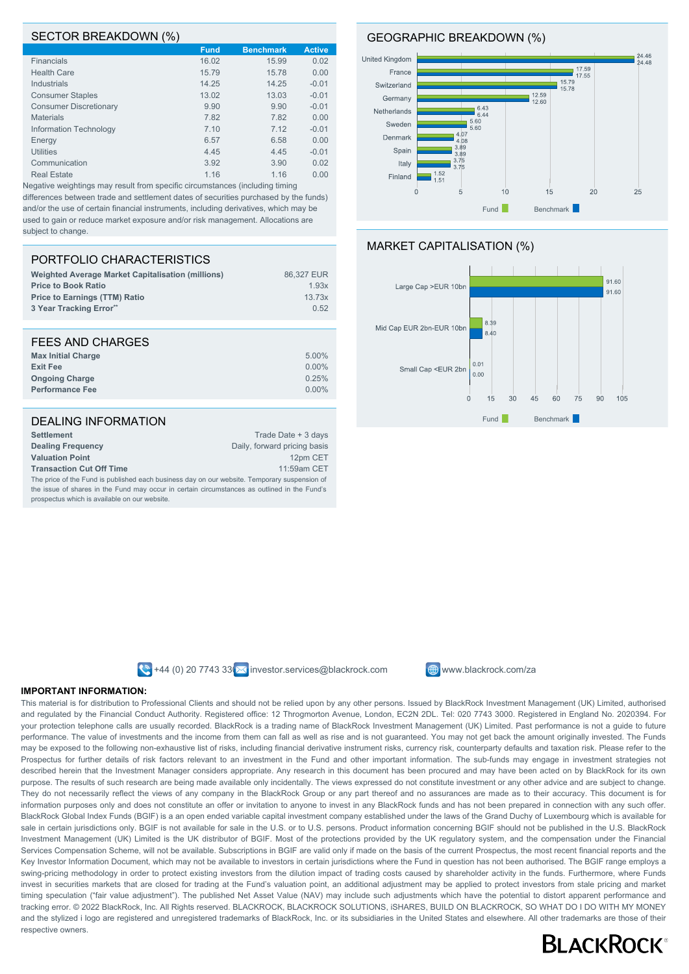#### SECTOR BREAKDOWN (%)

|                               | $\mathbf{z}$ |                  |               |
|-------------------------------|--------------|------------------|---------------|
|                               | <b>Fund</b>  | <b>Benchmark</b> | <b>Active</b> |
| <b>Financials</b>             | 16.02        | 15.99            | 0.02          |
| <b>Health Care</b>            | 15.79        | 15.78            | 0.00          |
| <b>Industrials</b>            | 14.25        | 14.25            | $-0.01$       |
| <b>Consumer Staples</b>       | 13.02        | 13.03            | $-0.01$       |
| <b>Consumer Discretionary</b> | 9.90         | 9.90             | $-0.01$       |
| <b>Materials</b>              | 7.82         | 7.82             | 0.00          |
| Information Technology        | 7.10         | 7.12             | $-0.01$       |
| Energy                        | 6.57         | 6.58             | 0.00          |
| <b>Utilities</b>              | 4.45         | 4.45             | $-0.01$       |
| Communication                 | 3.92         | 3.90             | 0.02          |
| <b>Real Estate</b>            | 1.16         | 1.16             | 0.00          |
|                               |              |                  |               |

Negative weightings may result from specific circumstances (including timing differences between trade and settlement dates of securities purchased by the funds) and/or the use of certain financial instruments, including derivatives, which may be used to gain or reduce market exposure and/or risk management. Allocations are subject to change.

## PORTFOLIO CHARACTERISTICS

| <b>Weighted Average Market Capitalisation (millions)</b> | 86.327 EUR |
|----------------------------------------------------------|------------|
| <b>Price to Book Ratio</b>                               | 1.93x      |
| <b>Price to Earnings (TTM) Ratio</b>                     | 13.73x     |
| 3 Year Tracking Error**                                  | 0.52       |

#### FEES AND CHARGES **Max Initial Charge** 5.00% **Exit Fee** 0.00% **Ongoing Charge** 0.25% **Performance Fee** 0.00%

#### DEALING INFORMATION **Settlement** Trade Date + 3 days **Dealing Frequency** Daily, forward pricing basis **Valuation Point** 12pm CET 12pm CET **Transaction Cut Off Time** 11:59am CET The price of the Fund is published each business day on our website. Temporary suspension of

the issue of shares in the Fund may occur in certain circumstances as outlined in the Fund's prospectus which is available on our website.

### GEOGRAPHIC BREAKDOWN (%)







 $\bigotimes$  +44 (0) 20 7743 33  $\bigotimes$  investor.services@blackrock.com  $\bigoplus$  www.blackrock.com/za



#### **IMPORTANT INFORMATION:**

This material is for distribution to Professional Clients and should not be relied upon by any other persons. Issued by BlackRock Investment Management (UK) Limited, authorised and regulated by the Financial Conduct Authority. Registered office: 12 Throgmorton Avenue, London, EC2N 2DL. Tel: 020 7743 3000. Registered in England No. 2020394. For your protection telephone calls are usually recorded. BlackRock is a trading name of BlackRock Investment Management (UK) Limited. Past performance is not a guide to future performance. The value of investments and the income from them can fall as well as rise and is not guaranteed. You may not get back the amount originally invested. The Funds may be exposed to the following non-exhaustive list of risks, including financial derivative instrument risks, currency risk, counterparty defaults and taxation risk. Please refer to the Prospectus for further details of risk factors relevant to an investment in the Fund and other important information. The sub-funds may engage in investment strategies not described herein that the Investment Manager considers appropriate. Any research in this document has been procured and may have been acted on by BlackRock for its own purpose. The results of such research are being made available only incidentally. The views expressed do not constitute investment or any other advice and are subject to change. They do not necessarily reflect the views of any company in the BlackRock Group or any part thereof and no assurances are made as to their accuracy. This document is for information purposes only and does not constitute an offer or invitation to anyone to invest in any BlackRock funds and has not been prepared in connection with any such offer. BlackRock Global Index Funds (BGIF) is a an open ended variable capital investment company established under the laws of the Grand Duchy of Luxembourg which is available for sale in certain jurisdictions only. BGIF is not available for sale in the U.S. or to U.S. persons. Product information concerning BGIF should not be published in the U.S. BlackRock Investment Management (UK) Limited is the UK distributor of BGIF. Most of the protections provided by the UK regulatory system, and the compensation under the Financial Services Compensation Scheme, will not be available. Subscriptions in BGIF are valid only if made on the basis of the current Prospectus, the most recent financial reports and the Key Investor Information Document, which may not be available to investors in certain jurisdictions where the Fund in question has not been authorised. The BGIF range employs a swing-pricing methodology in order to protect existing investors from the dilution impact of trading costs caused by shareholder activity in the funds. Furthermore, where Funds invest in securities markets that are closed for trading at the Fund's valuation point, an additional adjustment may be applied to protect investors from stale pricing and market timing speculation ("fair value adjustment"). The published Net Asset Value (NAV) may include such adjustments which have the potential to distort apparent performance and tracking error. © 2022 BlackRock, Inc. All Rights reserved. BLACKROCK, BLACKROCK SOLUTIONS, iSHARES, BUILD ON BLACKROCK, SO WHAT DO I DO WITH MY MONEY and the stylized i logo are registered and unregistered trademarks of BlackRock, Inc. or its subsidiaries in the United States and elsewhere. All other trademarks are those of their respective owners.